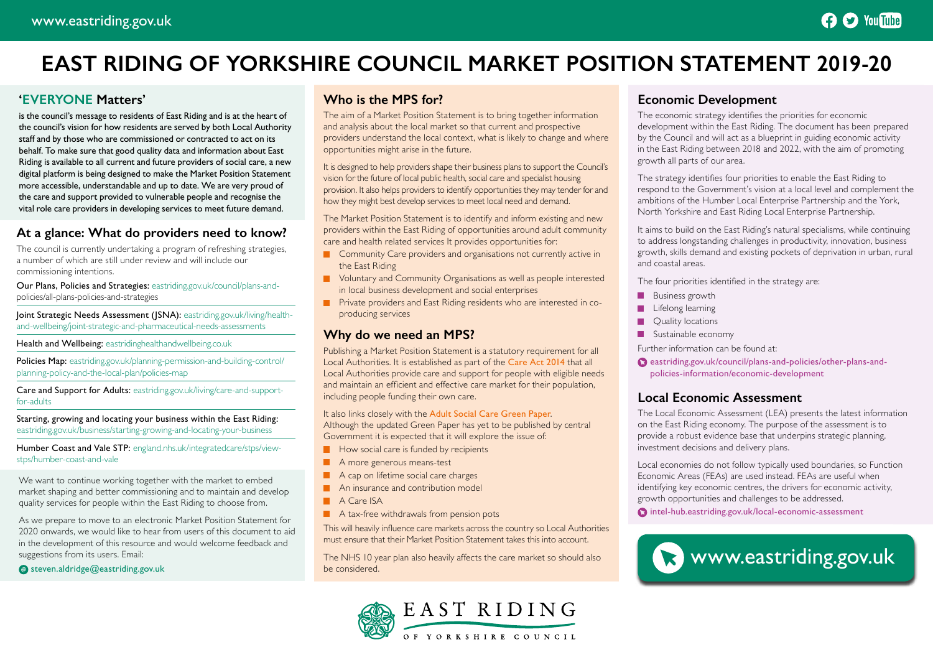# **EAST RIDING OF YORKSHIRE COUNCIL MARKET POSITION STATEMENT 2019-20**

# **'EVERYONE Matters'**

is the council's message to residents of East Riding and is at the heart of the council's vision for how residents are served by both Local Authority staff and by those who are commissioned or contracted to act on its behalf. To make sure that good quality data and information about East Riding is available to all current and future providers of social care, a new digital platform is being designed to make the Market Position Statement more accessible, understandable and up to date. We are very proud of the care and support provided to vulnerable people and recognise the vital role care providers in developing services to meet future demand.

# **At a glance: What do providers need to know?**

The council is currently undertaking a program of refreshing strategies, a number of which are still under review and will include our commissioning intentions.

Our Plans, Policies and Strategies: [eastriding.gov.uk/council/plans-and](https://www.eastriding.gov.uk/council/plans-and-policies/all-plans-policies-and-strategies/)[policies/all-plans-policies-and-strategies](https://www.eastriding.gov.uk/council/plans-and-policies/all-plans-policies-and-strategies/)

Joint Strategic Needs Assessment (JSNA): [eastriding.gov.uk/living/health](https://www.eastriding.gov.uk/living/health-and-wellbeing/joint-strategic-and-pharmaceutical-needs-assessments/)[and-wellbeing/joint-strategic-and-pharmaceutical-needs-assessments](https://www.eastriding.gov.uk/living/health-and-wellbeing/joint-strategic-and-pharmaceutical-needs-assessments/)

Health and Wellbeing: [eastridinghealthandwellbeing.co.uk](https://eastridinghealthandwellbeing.co.uk/)

Policies Map: [eastriding.gov.uk/planning-permission-and-building-control/](https://www.eastriding.gov.uk/planning-permission-and-building-control/planning-policy-and-the-local-plan/policies-map/) [planning-policy-and-the-local-plan/policies-map](https://www.eastriding.gov.uk/planning-permission-and-building-control/planning-policy-and-the-local-plan/policies-map/)

Care and Support for Adults: [eastriding.gov.uk/living/care-and-support](https://www.eastriding.gov.uk/living/care-and-support-for-adults/)[for-adults](https://www.eastriding.gov.uk/living/care-and-support-for-adults/)

Starting, growing and locating your business within the East Riding: [eastriding.gov.uk/business/starting-growing-and-locating-your-business](https://www.eastriding.gov.uk/business/starting-growing-and-locating-your-business/)

Humber Coast and Vale STP: [england.nhs.uk/integratedcare/stps/view](https://www.england.nhs.uk/integratedcare/stps/view-stps/humber-coast-and-vale/)[stps/humber-coast-and-vale](https://www.england.nhs.uk/integratedcare/stps/view-stps/humber-coast-and-vale/)

We want to continue working together with the market to embed market shaping and better commissioning and to maintain and develop quality services for people within the East Riding to choose from.

As we prepare to move to an electronic Market Position Statement for 2020 onwards, we would like to hear from users of this document to aid in the development of this resource and would welcome feedback and suggestions from its users. Email:

#### $\bullet$  steven.aldridge@eastriding.gov.uk

### **Who is the MPS for?**

The aim of a Market Position Statement is to bring together information and analysis about the local market so that current and prospective providers understand the local context, what is likely to change and where opportunities might arise in the future.

It is designed to help providers shape their business plans to support the Council's vision for the future of local public health, social care and specialist housing provision. It also helps providers to identify opportunities they may tender for and how they might best develop services to meet local need and demand.

The Market Position Statement is to identify and inform existing and new providers within the East Riding of opportunities around adult community care and health related services It provides opportunities for:

- **Community Care providers and organisations not currently active in** the East Riding
- **Noluntary and Community Organisations as well as people interested** in local business development and social enterprises
- **Private providers and East Riding residents who are interested in co**producing services

# **Why do we need an MPS?**

Publishing a Market Position Statement is a statutory requirement for all Local Authorities. It is established as part of the [Care Act 2014](http://www.legislation.gov.uk/ukpga/2014/23/contents/enacted 
) that all Local Authorities provide care and support for people with eligible needs and maintain an efficient and effective care market for their population, including people funding their own care.

It also links closely with the [Adult Social Care Green Paper](http://researchbriefings.files.parliament.uk/documents/CBP-8002/CBP-8002.pdf). Although the updated Green Paper has yet to be published by central Government it is expected that it will explore the issue of:

- $\blacksquare$  How social care is funded by recipients
- A more generous means-test
- A cap on lifetime social care charges
- **An insurance and contribution model**
- A Care ISA
- $\blacksquare$  A tax-free withdrawals from pension pots

This will heavily influence care markets across the country so Local Authorities must ensure that their Market Position Statement takes this into account.

The NHS 10 year plan also heavily affects the care market so should also be considered.



# **Economic Development**

The economic strategy identifies the priorities for economic development within the East Riding. The document has been prepared by the Council and will act as a blueprint in guiding economic activity in the East Riding between 2018 and 2022, with the aim of promoting growth all parts of our area.

The strategy identifies four priorities to enable the East Riding to respond to the Government's vision at a local level and complement the ambitions of the Humber Local Enterprise Partnership and the York, North Yorkshire and East Riding Local Enterprise Partnership.

It aims to build on the East Riding's natural specialisms, while continuing to address longstanding challenges in productivity, innovation, business growth, skills demand and existing pockets of deprivation in urban, rural and coastal areas.

The four priorities identified in the strategy are:

- $\blacksquare$ Business growth
- П Lifelong learning
- П Quality locations
- $\blacksquare$ Sustainable economy

Further information can be found at:

[eastriding.gov.uk/council/plans-and-policies/other-plans-and](https://www.eastriding.gov.uk/council/plans-and-policies/other-plans-and-policies-information/economic-development/)[policies-information/economic-development](https://www.eastriding.gov.uk/council/plans-and-policies/other-plans-and-policies-information/economic-development/)

## **Local Economic Assessment**

The Local Economic Assessment (LEA) presents the latest information on the East Riding economy. The purpose of the assessment is to provide a robust evidence base that underpins strategic planning, investment decisions and delivery plans.

Local economies do not follow typically used boundaries, so Function Economic Areas (FEAs) are used instead. FEAs are useful when identifying key economic centres, the drivers for economic activity, growth opportunities and challenges to be addressed.

[intel-hub.eastriding.gov.uk/local-economic-assessment](https://intel-hub.eastriding.gov.uk/local-economic-assessment/)